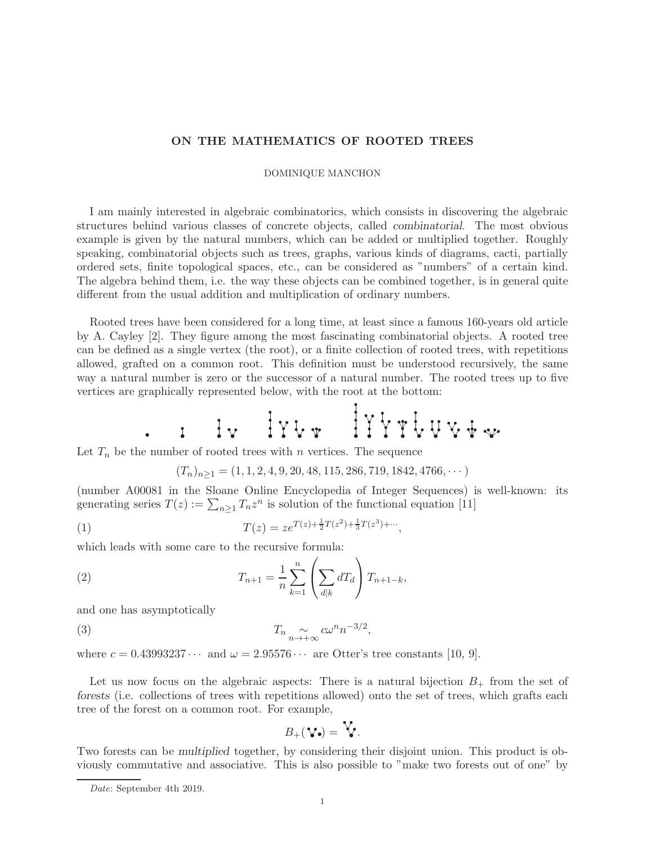## ON THE MATHEMATICS OF ROOTED TREES

## DOMINIQUE MANCHON

I am mainly interested in algebraic combinatorics, which consists in discovering the algebraic structures behind various classes of concrete objects, called combinatorial. The most obvious example is given by the natural numbers, which can be added or multiplied together. Roughly speaking, combinatorial objects such as trees, graphs, various kinds of diagrams, cacti, partially ordered sets, finite topological spaces, etc., can be considered as "numbers" of a certain kind. The algebra behind them, i.e. the way these objects can be combined together, is in general quite different from the usual addition and multiplication of ordinary numbers.

Rooted trees have been considered for a long time, at least since a famous 160-years old article by A. Cayley [2]. They figure among the most fascinating combinatorial objects. A rooted tree can be defined as a single vertex (the root), or a finite collection of rooted trees, with repetitions allowed, grafted on a common root. This definition must be understood recursively, the same way a natural number is zero or the successor of a natural number. The rooted trees up to five vertices are graphically represented below, with the root at the bottom:

Let  $T_n$  be the number of rooted trees with n vertices. The sequence

$$
(T_n)_{n\geq 1} = (1, 1, 2, 4, 9, 20, 48, 115, 286, 719, 1842, 4766, \cdots)
$$

(number A00081 in the Sloane Online Encyclopedia of Integer Sequences) is well-known: its generating series  $T(z) := \sum_{n \geq 1} T_n z^n$  is solution of the functional equation [11]

(1) 
$$
T(z) = ze^{T(z) + \frac{1}{2}T(z^2) + \frac{1}{3}T(z^3) + \cdots},
$$

which leads with some care to the recursive formula:

(2) 
$$
T_{n+1} = \frac{1}{n} \sum_{k=1}^{n} \left( \sum_{d|k} dT_d \right) T_{n+1-k},
$$

and one has asymptotically

(3) 
$$
T_n \underset{n \to +\infty}{\sim} c\omega^n n^{-3/2},
$$

where  $c = 0.43993237 \cdots$  and  $\omega = 2.95576 \cdots$  are Otter's tree constants [10, 9].

Let us now focus on the algebraic aspects: There is a natural bijection  $B_+$  from the set of forests (i.e. collections of trees with repetitions allowed) onto the set of trees, which grafts each tree of the forest on a common root. For example,

$$
B_+(\mathbf{V}\bullet) = \mathbf{V}.
$$

Two forests can be multiplied together, by considering their disjoint union. This product is obviously commutative and associative. This is also possible to "make two forests out of one" by

Date: September 4th 2019.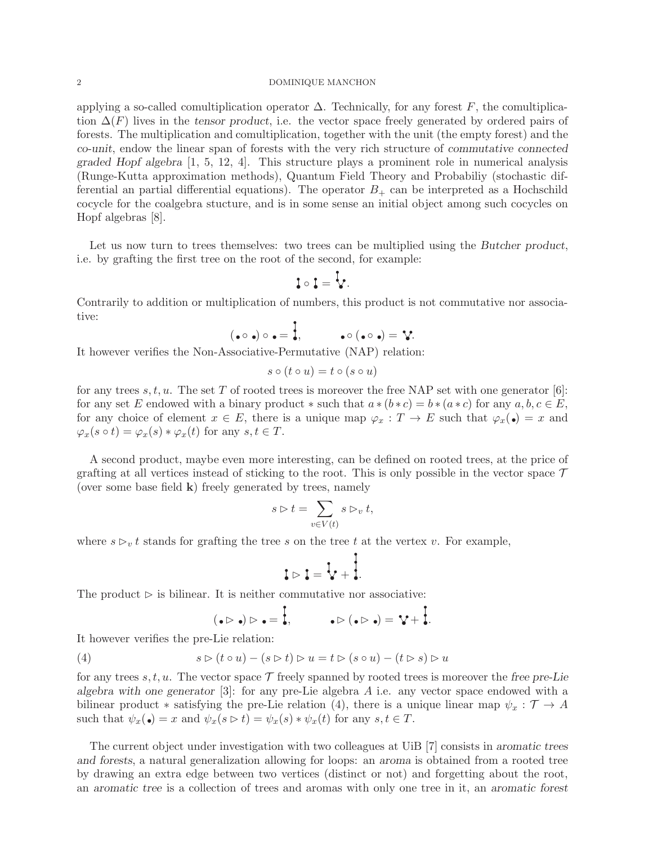## 2 DOMINIQUE MANCHON

applying a so-called comultiplication operator  $\Delta$ . Technically, for any forest F, the comultiplication  $\Delta(F)$  lives in the tensor product, i.e. the vector space freely generated by ordered pairs of forests. The multiplication and comultiplication, together with the unit (the empty forest) and the co-unit, endow the linear span of forests with the very rich structure of commutative connected graded Hopf algebra [1, 5, 12, 4]. This structure plays a prominent role in numerical analysis (Runge-Kutta approximation methods), Quantum Field Theory and Probabiliy (stochastic differential an partial differential equations). The operator  $B_{+}$  can be interpreted as a Hochschild cocycle for the coalgebra stucture, and is in some sense an initial object among such cocycles on Hopf algebras [8].

Let us now turn to trees themselves: two trees can be multiplied using the Butcher product, i.e. by grafting the first tree on the root of the second, for example:

$$
\mathbf{1} \circ \mathbf{1} = \mathbf{1}.
$$

Contrarily to addition or multiplication of numbers, this product is not commutative nor associative:

$$
(\bullet \circ \bullet) \circ \bullet = \overline{\bullet}, \qquad \bullet \circ (\bullet \circ \bullet) = \mathbf{?}.
$$

It however verifies the Non-Associative-Permutative (NAP) relation:

$$
s \circ (t \circ u) = t \circ (s \circ u)
$$

for any trees s, t, u. The set T of rooted trees is moreover the free NAP set with one generator [6]: for any set E endowed with a binary product  $*$  such that  $a*(b*c) = b*(a*c)$  for any  $a, b, c \in E$ , for any choice of element  $x \in E$ , there is a unique map  $\varphi_x : T \to E$  such that  $\varphi_x(\bullet) = x$  and  $\varphi_x(s \circ t) = \varphi_x(s) * \varphi_x(t)$  for any  $s, t \in T$ .

A second product, maybe even more interesting, can be defined on rooted trees, at the price of grafting at all vertices instead of sticking to the root. This is only possible in the vector space  $\mathcal T$ (over some base field  $\bf{k}$ ) freely generated by trees, namely

$$
s \triangleright t = \sum_{v \in V(t)} s \triangleright_v t,
$$

where  $s \rhd_v t$  stands for grafting the tree s on the tree t at the vertex v. For example,

$$
i \rhd i = \overline{i} + \overline{i}.
$$

The product  $\triangleright$  is bilinear. It is neither commutative nor associative:

$$
(\bullet \rhd \bullet) \rhd \bullet = \frac{1}{\bullet}, \qquad \bullet \rhd (\bullet \rhd \bullet) = \mathbf{Y} + \frac{1}{\bullet}.
$$

It however verifies the pre-Lie relation:

(4) 
$$
s \triangleright (t \circ u) - (s \triangleright t) \triangleright u = t \triangleright (s \circ u) - (t \triangleright s) \triangleright u
$$

for any trees s, t, u. The vector space  $\mathcal T$  freely spanned by rooted trees is moreover the free pre-Lie algebra with one generator  $[3]$ : for any pre-Lie algebra A i.e. any vector space endowed with a bilinear product \* satisfying the pre-Lie relation (4), there is a unique linear map  $\psi_x : \mathcal{T} \to A$ such that  $\psi_x(\bullet) = x$  and  $\psi_x(s \triangleright t) = \psi_x(s) * \psi_x(t)$  for any  $s, t \in T$ .

The current object under investigation with two colleagues at UiB [7] consists in aromatic trees and forests, a natural generalization allowing for loops: an aroma is obtained from a rooted tree by drawing an extra edge between two vertices (distinct or not) and forgetting about the root, an aromatic tree is a collection of trees and aromas with only one tree in it, an aromatic forest